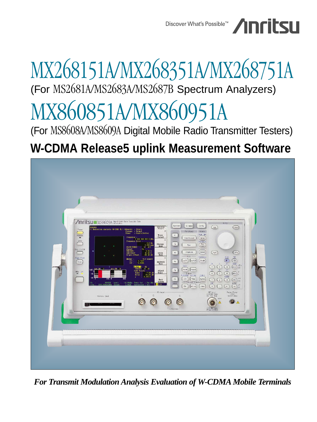Discover What's Possible<sup>™</sup> /INFILSLI

# MX268151A/MX268351A/MX268751A (For MS2681A/MS2683A/MS2687B Spectrum Analyzers) MX860851A/MX860951A

(For MS8608A/MS8609A Digital Mobile Radio Transmitter Testers)

# **W-CDMA Release5 uplink Measurement Software**



*For Transmit Modulation Analysis Evaluation of W-CDMA Mobile Terminals*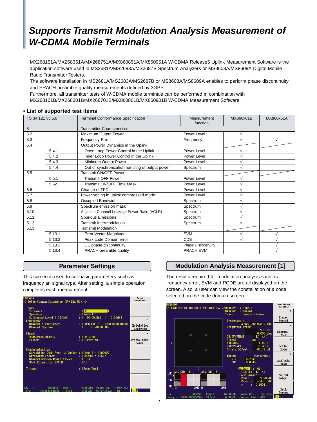# **Supports Transmit Modulation Analysis Measurement of W-CDMA Mobile Terminals**

MX268151A/MX268351A/MX268751A/MX860851A/MX860951A W-CDMA Release5 Uplink Measurement Software is the application software used in MS2681A/MS2683A/MS2687B Spectrum Analyzers or MS8608A/MS8609A Digital Mobile Radio Transmitter Testers.

The software installation in MS2681A/MS2683A/MS2687B or MS8608A/MS8609A enables to perform phase discontinuity and PRACH preamble quality measurements defined by 3GPP.

Furthermore, all transmitter tests of W-CDMA mobile terminals can be performed in combination with

MX268101B/MX268301B/MX268701B/MX860801B/MX860901B W-CDMA Measurement Software.

| TS 34.121 v5.6.0 |        | Terminal Conformance Specification              | Measurement<br>function    | MX860x01B | MX860x51A |
|------------------|--------|-------------------------------------------------|----------------------------|-----------|-----------|
| 5                |        | <b>Transmitter Characteristics</b>              |                            |           |           |
| 5.2              |        | Maximum Output Power                            | Power Level                |           |           |
| 5.3              |        | Frequency Error                                 | Frequency                  |           |           |
| 5.4              |        | Output Power Dynamics in the Uplink             |                            |           |           |
|                  | 5.4.1  | Open Loop Power Control in the Uplink           | Power Level                |           |           |
|                  | 5.4.2  | Inner Loop Power Control in the Uplink          | Power Level                |           |           |
|                  | 5.4.3  | Minimum Output Power                            | Power Level                |           |           |
|                  | 5.4.4  | Out of synchronization handling of output power | Spectrum                   |           |           |
| 5.5              |        | Transmit ON/OFF Power                           |                            |           |           |
|                  | 5.5.1  | <b>Transmit OFF Power</b>                       | Power Level                |           |           |
|                  | 5.52   | Transmit ON/OFF Time Mask                       | Power Level                |           |           |
| 5.6              |        | Change of TFC                                   | Power Level                |           |           |
| 5.7              |        | Power setting in uplink compressed mode         | Power Level                |           |           |
| 5.8              |        | Occupied Bandwidth                              | Spectrum                   |           |           |
| 5.9              |        | Spectrum emission mask                          | Spectrum                   |           |           |
| 5.10             |        | Adjacent Channel Leakage Power Ratio (ACLR)     | Spectrum                   |           |           |
| 5.11             |        | <b>Spurious Emissions</b>                       | Spectrum                   |           |           |
| 5.12             |        | <b>Transmit Intermodulation</b>                 | Spectrum                   |           |           |
| 5.13             |        | <b>Transmit Modulation</b>                      |                            |           |           |
|                  | 5.13.1 | Error Vector Magnitude                          | <b>EVM</b>                 |           |           |
|                  | 5.13.2 | Peak code Domain error                          | CDE                        |           |           |
|                  | 5.13.3 | UE phase discontinuity                          | <b>Phase Discontinuity</b> |           |           |
|                  | 5.13.4 | PRACH preamble quality                          | <b>PRACH EVM</b>           |           |           |

#### **• List of supported test items**

## **Parameter Settings**

This screen is used to set basic parameters such as frequency an signal type. After setting, a simple operation completes each measurement.

| <b>MS8609A</b><br><< Setup Common Parameter (W-CDMA UL) >>                                                                             |                                                                                                                                                             | Setup<br>Parameter          |
|----------------------------------------------------------------------------------------------------------------------------------------|-------------------------------------------------------------------------------------------------------------------------------------------------------------|-----------------------------|
| Input<br>Terminal<br>Spectrum<br>Reference Level & Offset<br>Frequency<br>Channel & Frequency<br>Channel Spacing                       | : IRF<br>1<br>: [Normal ]<br>$0.00dB$ ]<br>10.00dB <sub>m</sub><br>T<br>-Г.<br>$\therefore$ [ 9600CH] = [ 1920.000000MHz]<br>$\pm$ T.<br>$0.200000$ MHz $1$ | →<br>Modulation<br>Analysis |
| Signal<br>Measuring Object<br>Filter                                                                                                   | ı<br>: IUp Link<br>: [Filtering]                                                                                                                            | →<br>Transmitter<br>Power   |
| Synchronization<br>Scrambling Code Sync. & Number : [Long ] = [000000]<br><b>Spreading Factor</b><br>Channelization Codes Number : (0) | $\therefore$ [DPCCH] = (256)                                                                                                                                |                             |
| Slot Format for DPCCH<br>Trigger                                                                                                       | : 101<br>: [Free Run]                                                                                                                                       |                             |
|                                                                                                                                        |                                                                                                                                                             |                             |
| Ch.<br><b>9600CH</b><br>Level :<br>1920.000000MHz<br>Offset<br>Freq :                                                                  | 10.00dBm Power Cal<br>: Pur Mtr<br>0.00dB<br>Correction : Off                                                                                               | 12                          |

## **Modulation Analysis Measurement [1]**

The results required for modulation analysis such as frequency error, EVM and PCDE are all displayed on the screen. Also, a user can view the constellation of a code selected on the code domain screen.

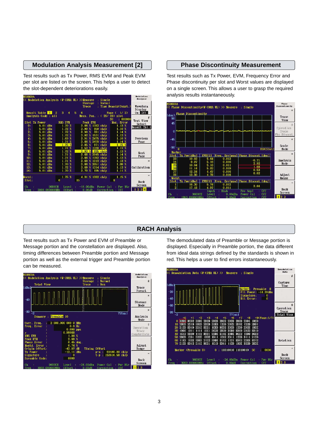## **Modulation Analysis Measurement [2]**

Test results such as Tx Power, RMS EVM and Peak EVM per slot are listed on the screen. This helps a user to detect the slot-dependent deteriorations easily.



#### **Phase Discontinuity Measurement**

Test results such as Tx Power, EVM, Frequency Error and Phase discontinuity per slot and Worst values are displayed on a single screen. This allows a user to grasp the required analysis results instantaneously.



## **RACH Analysis**

Test results such as Tx Power and EVM of Preamble or Message portion and the constellation are displayed. Also, timing differences between Preamble portion and Message portion as well as the external trigger and Preamble portion can be measured.



The demodulated data of Preamble or Message portion is displayed. Especially in Preamble portion, the data different from ideal data strings defined by the standards is shown in red. This helps a user to find errors instantaneously.

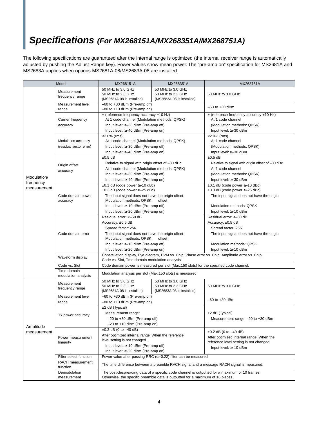# **Specifications (For MX268151A/MX268351A/MX268751A)**

The following specifications are guaranteed after the internal range is optimized (the internal receiver range is automatically adjusted by pushing the Adjust Range key). Power values show mean power. The "pre-amp on" specification for MS2681A and MS2683A applies when options MS2681A-08/MS2683A-08 are installed.

| Model                                   |                                                | MX268151A                                                                                                                                                                                                                                                        | MX268351A                                                           | MX268751A                                                                                                                                                                             |
|-----------------------------------------|------------------------------------------------|------------------------------------------------------------------------------------------------------------------------------------------------------------------------------------------------------------------------------------------------------------------|---------------------------------------------------------------------|---------------------------------------------------------------------------------------------------------------------------------------------------------------------------------------|
| Modulation/<br>frequency<br>measurement | Measurement<br>frequency range                 | 50 MHz to 3.0 GHz<br>50 MHz to 2.3 GHz<br>(MS2681A-08 is installed)                                                                                                                                                                                              | 50 MHz to 3.0 GHz<br>50 MHz to 2.3 GHz<br>(MS2683A-08 is installed) | 50 MHz to 3.0 GHz                                                                                                                                                                     |
|                                         | Measurement level<br>range                     | $-60$ to $+30$ dBm (Pre-amp off)<br>$-80$ to $+10$ dBm (Pre-amp on)                                                                                                                                                                                              |                                                                     | $-60$ to $+30$ dBm                                                                                                                                                                    |
|                                         | Carrier frequency<br>accuracy                  | $\pm$ (reference frequency accuracy +10 Hz)<br>At 1 code channel (Modulation methods: QPSK)<br>Input level: $\geq$ 30 dBm (Pre-amp off)<br>Input level: $\geq -40$ dBm (Pre-amp on)                                                                              |                                                                     | $\pm$ (reference frequency accuracy +10 Hz)<br>At 1 code channel<br>(Modulation methods: QPSK)<br>Input level: ≥-30 dBm                                                               |
|                                         | Modulation accuracy<br>(residual vector error) | $< 2.0\%$ (rms)<br>At 1 code channel (Modulation methods: QPSK)<br>Input level: $\geq$ 30 dBm (Pre-amp off)<br>Input level: ≥-40 dBm (Pre-amp on)                                                                                                                |                                                                     | $< 2.0\%$ (rms)<br>At 1 code channel<br>(Modulation methods: QPSK)<br>Input level: ≥-30 dBm                                                                                           |
|                                         | Origin offset<br>accuracy                      | $\pm 0.5$ dB<br>Relative to signal with origin offset of -30 dBc<br>At 1 code channel (Modulation methods: QPSK)<br>Input level: $\geq$ 30 dBm (Pre-amp off)<br>Input level: ≥-40 dBm (Pre-amp on)                                                               |                                                                     | $\pm 0.5$ dB<br>Relative to signal with origin offset of -30 dBc<br>At 1 code channel<br>(Modulation methods: QPSK)<br>Input level: ≥-30 dBm                                          |
|                                         | Code domain power<br>accuracy                  | $\pm 0.1$ dB (code power $\geq -10$ dBc)<br>$\pm 0.3$ dB (code power $\ge -25$ dBc)<br>The input signal does not have the origin offset<br>Modulation methods: QPSK<br>offset<br>Input level: $\geq -10$ dBm (Pre-amp off)<br>Input level: ≥-20 dBm (Pre-amp on) |                                                                     | $\pm 0.1$ dB (code power $\geq -10$ dBc)<br>$\pm 0.3$ dB (code power $\ge -25$ dBc)<br>The input signal does not have the origin<br>Modulation methods: QPSK<br>Input level: ≥-10 dBm |
|                                         | Code domain error                              | Residual error: <- 50 dB<br>Accuracy: $\pm 0.5$ dB<br>Spread factor: 256<br>The input signal does not have the origin offset<br>Modulation methods: QPSK<br>offset<br>Input level: $\geq -10$ dBm (Pre-amp off)<br>Input level: $\geq$ -20 dBm (Pre-amp on)      |                                                                     | Residual error: <- 50 dB<br>Accuracy: ±0.5 dB<br>Spread factor: 256<br>The input signal does not have the origin<br>Modulation methods: QPSK<br>Input level: ≥-10 dBm                 |
|                                         | Waveform display                               | Code vs. Slot, Tme domain modulation analysis                                                                                                                                                                                                                    |                                                                     | Constellation display, Eye diagram, EVM vs. Chip, Phase error vs. Chip, Amplitude error vs. Chip,                                                                                     |
|                                         | Code vs. Slot                                  | Code domain power is measured per slot (Max.150 slots) for the specified code channel.                                                                                                                                                                           |                                                                     |                                                                                                                                                                                       |
|                                         | Time domain<br>modulation analysis             | Modulation analysis per slot (Max.150 slots) is measured.                                                                                                                                                                                                        |                                                                     |                                                                                                                                                                                       |
|                                         | Measurement<br>frequency range                 | 50 MHz to 3.0 GHz<br>50 MHz to 2.3 GHz<br>(MS2681A-08 is installed)                                                                                                                                                                                              | 50 MHz to 3.0 GHz<br>50 MHz to 2.3 GHz<br>(MS2683A-08 is installed) | 50 MHz to 3.0 GHz                                                                                                                                                                     |
|                                         | Measurement level<br>range                     | $-60$ to $+30$ dBm (Pre-amp off)<br>$-80$ to $+10$ dBm (Pre-amp on)                                                                                                                                                                                              |                                                                     | $-60$ to $+30$ dBm                                                                                                                                                                    |
| Amplitude<br>measurement                | Tx power accuracy                              | ±2 dB (Typical)<br>Measurement range:<br>-20 to +30 dBm (Pre-amp off)<br>$-20$ to $+10$ dBm (Pre-amp on)                                                                                                                                                         |                                                                     | $±2$ dB (Typical)<br>Measurement range: - 20 to +30 dBm                                                                                                                               |
|                                         | Power measurement<br>linearity                 | $\pm 0.2$ dB (0 to $-40$ dB)<br>After optimized internal range, When the reference<br>level setting is not changed.<br>Input level: $\geq -10$ dBm (Pre-amp off)<br>Input level: $\geq$ -20 dBm (Pre-amp on)                                                     |                                                                     | $\pm 0.2$ dB (0 to $-40$ dB)<br>After optimized internal range, When the<br>reference level setting is not changed.<br>Input level: $\geq -10$ dBm                                    |
|                                         | Filter select function                         | Power value after passing RRC ( $\alpha$ =0.22) filter can be measured                                                                                                                                                                                           |                                                                     |                                                                                                                                                                                       |
|                                         | RACH measurement<br>function                   | The time difference between a preamble RACH signal and a message RACH signal is measured.                                                                                                                                                                        |                                                                     |                                                                                                                                                                                       |
|                                         | Demodulation<br>measurement                    | The post-despreading data of a specific code channel is outputted for a maximum of 10 frames.<br>Otherwise, the specific preamble data is outputted for a maximum of 16 pieces.                                                                                  |                                                                     |                                                                                                                                                                                       |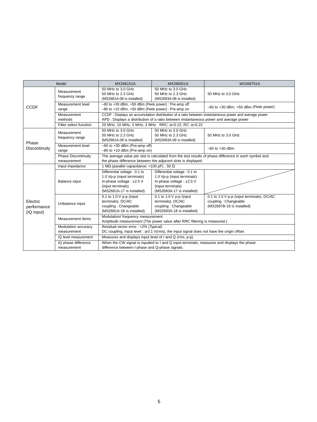| Model                                 |                                           | MX268151A                                                                                                                                                              | MX268351A                                                                                                                                 | MX268751A                                                                                             |  |
|---------------------------------------|-------------------------------------------|------------------------------------------------------------------------------------------------------------------------------------------------------------------------|-------------------------------------------------------------------------------------------------------------------------------------------|-------------------------------------------------------------------------------------------------------|--|
| <b>CCDF</b>                           | Measurement<br>frequency range            | 50 MHz to 3.0 GHz<br>50 MHz to 2.3 GHz<br>(MS2681A-08 is installed)                                                                                                    | 50 MHz to 3.0 GHz<br>50 MHz to 2.3 GHz<br>(MS2683A-08 is installed)                                                                       | 50 MHz to 3.0 GHz                                                                                     |  |
|                                       | Measurement level<br>range                | -60 to +30 dBm, +50 dBm (Peek power) : Pre-amp off<br>-80 to +10 dBm, +50 dBm (Peek power) : Pre-amp on                                                                |                                                                                                                                           | $-60$ to $+30$ dBm, $+50$ dBm (Peek power)                                                            |  |
|                                       | Measurement<br>methods                    |                                                                                                                                                                        | APD : Displays a distribution of a ratio between instantaneous power and average power                                                    | CCDF : Displays an accumulation distribution of a ratio between instantaneous power and average power |  |
|                                       | Filter select function                    | 20 MHz, 10 MHz, 5 MHz, 3 MHz RRC: $\alpha$ =0.22, RC: $\alpha$ =0.22                                                                                                   |                                                                                                                                           |                                                                                                       |  |
|                                       | Measurement<br>frequency range            | 50 MHz to 3.0 GHz<br>50 MHz to 2.3 GHz<br>(MS2681A-08 is installed)                                                                                                    | 50 MHz to 3.0 GHz<br>50 MHz to 2.3 GHz<br>(MS2683A-08 is installed)                                                                       | 50 MHz to 3.0 GHz                                                                                     |  |
| Phase<br>Discontinuity                | Measurement level<br>range                | $-60$ to $+30$ dBm (Pre-amp off)<br>$-80$ to $+10$ dBm (Pre-amp on)                                                                                                    |                                                                                                                                           | $-60$ to $+30$ dBm                                                                                    |  |
|                                       | <b>Phase Discontinuity</b><br>measurement | The average value per slot is calculated from the test results of phase difference in each symbol and<br>the phase difference between the adjacent slots is displayed. |                                                                                                                                           |                                                                                                       |  |
|                                       | Input impedance                           | 1 M $\Omega$ (parallel capacitance: <100 pF), 50 $\Omega$                                                                                                              |                                                                                                                                           |                                                                                                       |  |
|                                       | Balance input                             | Differential voltage : 0.1 to<br>1.0 Vp-p (input terminals)<br>In-phase voltage: ±2.5 V<br>(input terminals)<br>(MS2681A-17 is installed)                              | Differential voltage : 0.1 to<br>1.0 Vp-p (input terminals)<br>In-phase voltage: ±2.5 V<br>(input terminals)<br>(MS2683A-17 is installed) |                                                                                                       |  |
| Electric<br>performance<br>(IQ input) | Unbalance input                           | 0.1 to 1.0 $V$ p-p (input<br>terminals), DC/AC<br>coupling: Changeable<br>(MS2681A-18 is installed)                                                                    | 0.1 to 1.0 $V$ p-p (input<br>terminals), DC/AC<br>coupling: Changeable<br>(MS2683A-18 is installed)                                       | 0.1 to 1.0 V p-p (input terminals), DC/AC<br>coupling: Changeable<br>(MS2687B-18 is installed)        |  |
|                                       | Measurement items                         | Modulation/ frequency measurement<br>Amplitude measurement (The power value after RRC filtering is measured.)                                                          |                                                                                                                                           |                                                                                                       |  |
|                                       | Modulation accuracy<br>measurement        | Residual vector error : <2% (Typical)<br>DC coupling, Input level : $\geq$ 0.1 V(rms), the input signal does not have the origin offset                                |                                                                                                                                           |                                                                                                       |  |
|                                       | IQ level measurement                      | Measures and displays input level of I and Q (rms, p-p)                                                                                                                |                                                                                                                                           |                                                                                                       |  |
|                                       | IQ phase difference<br>measurement        | When the CW signal is inputted to I and Q input terminals, measures and displays the phase<br>difference between I-phase and Q-phase signals.                          |                                                                                                                                           |                                                                                                       |  |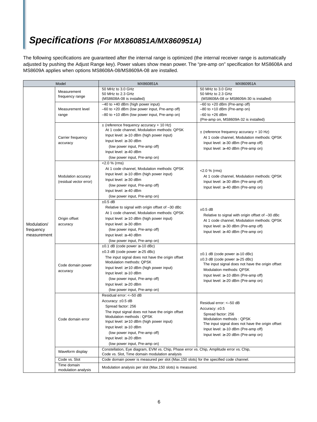# **Specifications (For MX860851A/MX860951A)**

The following specifications are guaranteed after the internal range is optimized (the internal receiver range is automatically adjusted by pushing the Adjust Range key). Power values show mean power. The "pre-amp on" specification for MS8608A and MS8609A applies when options MS8608A-08/MS8609A-08 are installed.

| Model                                   |                                                | MX860851A                                                                                                                                                                                                                                                                                                                                              | MX860951A                                                                                                                                                                                                                                         |  |
|-----------------------------------------|------------------------------------------------|--------------------------------------------------------------------------------------------------------------------------------------------------------------------------------------------------------------------------------------------------------------------------------------------------------------------------------------------------------|---------------------------------------------------------------------------------------------------------------------------------------------------------------------------------------------------------------------------------------------------|--|
|                                         | Measurement<br>frequency range                 | 50 MHz to 3.0 GHz<br>50 MHz to 2.3 GHz<br>(MS8608A-08 is installed)                                                                                                                                                                                                                                                                                    | 50 MHz to 3.0 GHz<br>50 MHz to 2.3 GHz<br>(MS8608A-08 or MS8609A-30 is installed)                                                                                                                                                                 |  |
|                                         | Measurement level<br>range                     | $-40$ to $+40$ dBm (high power input)<br>-60 to +20 dBm (low power input, Pre-amp off)<br>-80 to +10 dBm (low power input, Pre-amp on)                                                                                                                                                                                                                 | $-60$ to $+20$ dBm (Pre-amp off)<br>$-80$ to $+10$ dBm (Pre-amp on)<br>$-60$ to $+26$ dBm<br>(Pre-amp on, MS8609A-32 is installed)                                                                                                                |  |
|                                         | Carrier frequency<br>accuracy                  | $\pm$ (reference frequency accuracy + 10 Hz)<br>At 1 code channel, Modulation methods: QPSK<br>Input level: $\geq -10$ dBm (high power input)<br>Input level: $\geq -30$ dBm<br>(low power input, Pre-amp off)<br>Input level: ≥-40 dBm<br>(low power input, Pre-amp on)                                                                               | $\pm$ (reference frequency accuracy + 10 Hz)<br>At 1 code channel, Modulation methods: QPSK<br>Input level: $\geq$ -30 dBm (Pre-amp off)<br>Input level: ≥-40 dBm (Pre-amp on)                                                                    |  |
|                                         | Modulation accuracy<br>(residual vector error) | <2.0 % (rms)<br>At 1 code channel, Modulation methods: QPSK<br>Input level: $\geq -10$ dBm (high power input)<br>Input level: $\geq -30$ dBm<br>(low power input, Pre-amp off)<br>Input level: ≥-40 dBm<br>(low power input, Pre-amp on)                                                                                                               | <2.0 % (rms)<br>At 1 code channel, Modulation methods: QPSK<br>Input level: $\geq$ -30 dBm (Pre-amp off)<br>Input level: ≥-40 dBm (Pre-amp on)                                                                                                    |  |
| Modulation/<br>frequency<br>measurement | Origin offset<br>accuracy                      | $\pm 0.5$ dB<br>Relative to signal with origin offset of -30 dBc<br>At 1 code channel, Modulation methods: QPSK<br>Input level: ≥-10 dBm (high power input)<br>Input level: ≥-30 dBm<br>(low power input, Pre-amp off)<br>Input level: ≥-40 dBm<br>(low power input, Pre-amp on)                                                                       | $±0.5$ dB<br>Relative to signal with origin offset of -30 dBc<br>At 1 code channel, Modulation methods: QPSK<br>Input level: ≥-30 dBm (Pre-amp off)<br>Input level: ≥-40 dBm (Pre-amp on)                                                         |  |
|                                         | Code domain power<br>accuracy                  | $\pm 0.1$ dB (code power $\geq -10$ dBc)<br>$\pm 0.3$ dB (code power $\ge -25$ dBc)<br>The input signal does not have the origin offset<br>Modulation methods: QPSK<br>Input level: $\geq +10$ dBm (high power input)<br>Input level: $\geq -10$ dBm<br>(low power input, Pre-amp off)<br>Input level: $\geq -20$ dBm<br>(low power input, Pre-amp on) | $\pm 0.1$ dB (code power $\geq -10$ dBc)<br>$\pm 0.3$ dB (code power $\geq -25$ dBc)<br>The input signal does not have the origin offset<br>Modulation methods: QPSK<br>Input level: ≥-10 dBm (Pre-amp off)<br>Input level: ≥-20 dBm (Pre-amp on) |  |
|                                         | Code domain error                              | Residual error: <- 50 dB<br>Accuracy: ±0.5 dB<br>Spread factor: 256<br>The input signal does not have the origin offset<br>Modulation methods: QPSK<br>Input level: ≥+10 dBm (high power input)<br>Input level: ≥-10 dBm<br>(low power input, Pre-amp off)<br>Input level: ≥-20 dBm<br>(low power input, Pre-amp on)                                   | Residual error: <- 50 dB<br>Accuracy: ±0.5<br>Spread factor: 256<br>Modulation methods: QPSK<br>The input signal does not have the origin offset<br>Input level: ≥-10 dBm (Pre-amp off)<br>Input level: ≥-20 dBm (Pre-amp on)                     |  |
|                                         | Waveform display                               | Constellation, Eye diagram, EVM vs. Chip, Phase error vs. Chip, Amplitude error vs. Chip,<br>Code vs. Slot, Time domain modulation analysis                                                                                                                                                                                                            |                                                                                                                                                                                                                                                   |  |
|                                         | Code vs. Slot                                  | Code domain power is measured per slot (Max.150 slots) for the specified code channel.                                                                                                                                                                                                                                                                 |                                                                                                                                                                                                                                                   |  |
|                                         | Time domain<br>modulation analysis             | Modulation analysis per slot (Max.150 slots) is measured.                                                                                                                                                                                                                                                                                              |                                                                                                                                                                                                                                                   |  |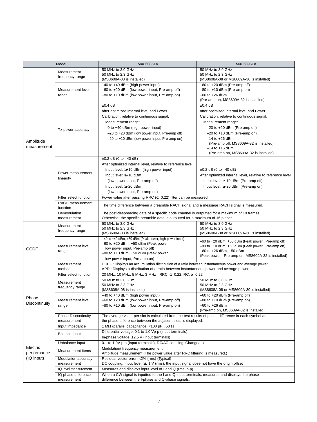| Model                    |                                           | MX860851A                                                                                                                                                                                                                                                                | MX860951A                                                                                                                                                                                                                                                                                                                        |  |  |
|--------------------------|-------------------------------------------|--------------------------------------------------------------------------------------------------------------------------------------------------------------------------------------------------------------------------------------------------------------------------|----------------------------------------------------------------------------------------------------------------------------------------------------------------------------------------------------------------------------------------------------------------------------------------------------------------------------------|--|--|
| Amplitude<br>measurement | Measurement<br>frequency range            | 50 MHz to 3.0 GHz<br>50 MHz to 2.3 GHz<br>(MS8608A-08 is installed)                                                                                                                                                                                                      | 50 MHz to 3.0 GHz<br>50 MHz to 2.3 GHz<br>(MS8608A-08 or MS8609A-30 is installed)                                                                                                                                                                                                                                                |  |  |
|                          | Measurement level<br>range                | $-40$ to $+40$ dBm (high power input)<br>-60 to +20 dBm (low power input, Pre-amp off)<br>-80 to +10 dBm (low power input, Pre-amp on)                                                                                                                                   | $-60$ to $+20$ dBm (Pre-amp off)<br>$-80$ to $+10$ dBm (Pre-amp on)<br>$-60$ to $+26$ dBm<br>(Pre-amp on, MS8609A-32 is installed)                                                                                                                                                                                               |  |  |
|                          | Tx power accuracy                         | $±0.4$ dB<br>after optimized internal level and Power<br>Calibration, relative to continuous signal.<br>Measurement range:<br>0 to +40 dBm (high power input)<br>$-20$ to $+20$ dBm (low power input, Pre-amp off)<br>$-20$ to $+10$ dBm (low power input, Pre-amp on)   | $±0.4$ dB<br>after optimized internal level and Power<br>Calibration, relative to continuous signal.<br>Measurement range:<br>$-20$ to $+20$ dBm (Pre-amp off)<br>$-20$ to $+10$ dBm (Pre-amp on)<br>$-14$ to $+26$ dBm<br>(Pre-amp off, MS8609A-32 is installed)<br>$-14$ to $+16$ dBm<br>(Pre-amp on, MS8609A-32 is installed) |  |  |
|                          | Power measurement<br>linearity            | $\pm 0.2$ dB (0 to $-40$ dB)<br>After optimized internal level, relative to reference level<br>Input level: $\geq +10$ dBm (high power input)<br>Input level: $\geq -10$ dBm<br>(low power input, Pre-amp off)<br>Input level: ≥-20 dBm<br>(low power input, Pre-amp on) | $\pm 0.2$ dB (0 to $-40$ dB)<br>After optimized internal level, relative to reference level<br>Input level: $\geq -10$ dBm (Pre-amp off)<br>Input level: ≥-20 dBm (Pre-amp on)                                                                                                                                                   |  |  |
|                          | Filter select function                    | Power value after passing RRC ( $\alpha$ =0.22) filter can be measured                                                                                                                                                                                                   |                                                                                                                                                                                                                                                                                                                                  |  |  |
|                          | RACH measurement<br>function              | The time difference between a preamble RACH signal and a message RACH signal is measured.                                                                                                                                                                                |                                                                                                                                                                                                                                                                                                                                  |  |  |
|                          | Demodulation<br>measurement               | The post-despreading data of a specific code channel is outputted for a maximum of 10 frames.<br>Otherwise, the specific preamble data is outputted for a maximum of 16 pieces.                                                                                          |                                                                                                                                                                                                                                                                                                                                  |  |  |
|                          | Measurement<br>frequency range            | 50 MHz to 3.0 GHz<br>50 MHz to 2.3 GHz<br>(MS8608A-08 is installed)                                                                                                                                                                                                      | 50 MHz to 3.0 GHz<br>50 MHz to 2.3 GHz<br>(MS8608A-08 or MS8609A-30 is installed)                                                                                                                                                                                                                                                |  |  |
| <b>CCDF</b>              | Measurement level<br>range                | -40 to +40 dBm, +50 dBm (Peak power, high power input)<br>$-60$ to $+20$ dBm, $+50$ dBm (Peak power,<br>low power input, Pre-amp off)<br>$-80$ to $+10$ dBm, $+50$ dBm (Peak power,<br>low power input, Pre-amp on)                                                      | -60 to +20 dBm, +50 dBm (Peak power, Pre-amp off)<br>-80 to +10 dBm, +50 dBm (Peak power, Pre-amp on)<br>-60 to +26 dBm, +50 dBm<br>(Peak power, Pre-amp on, MS8609A-32 is installed)                                                                                                                                            |  |  |
|                          | Measurement<br>methods                    | CCDF : Displays an accumulation distribution of a ratio between instantaneous power and average power<br>APD: Displays a distribution of a ratio between instantaneous power and average power                                                                           |                                                                                                                                                                                                                                                                                                                                  |  |  |
|                          | Filter select function                    | 20 MHz, 10 MHz, 5 MHz, 3 MHz RRC: $\alpha = 0.22$ , RC: $\alpha = 0.22$                                                                                                                                                                                                  |                                                                                                                                                                                                                                                                                                                                  |  |  |
|                          | Measurement<br>frequency range            | 50 MHz to 3.0 GHz<br>50 MHz to 2.3 GHz<br>(MS8608A-08 is installed)                                                                                                                                                                                                      | 50 MHz to 3.0 GHz<br>50 MHz to 2.3 GHz<br>(MS8608A-08 or MS8609A-30 is installed)                                                                                                                                                                                                                                                |  |  |
| Phase<br>Discontinuity   | Measurement level<br>range                | $-40$ to $+40$ dBm (high power input)<br>-60 to +20 dBm (low power input, Pre-amp off)<br>-80 to +10 dBm (low power input, Pre-amp on)                                                                                                                                   | $-60$ to $+20$ dBm (Pre-amp off)<br>$-80$ to $+10$ dBm (Pre-amp on)<br>$-60$ to $+26$ dBm<br>(Pre-amp on, MS8609A-32 is installed)                                                                                                                                                                                               |  |  |
|                          | <b>Phase Discontinuity</b><br>measurement | The average value per slot is calculated from the test results of phase difference in each symbol and<br>the phase difference between the adjacent slots is displayed.                                                                                                   |                                                                                                                                                                                                                                                                                                                                  |  |  |
|                          | Input impedance                           | 1 M $\Omega$ (parallel capacitance: <100 pF), 50 $\Omega$                                                                                                                                                                                                                |                                                                                                                                                                                                                                                                                                                                  |  |  |
|                          | Balance input                             | Differential voltage: 0.1 to 1.0 Vp-p (input terminals)<br>In-phase voltage: $\pm 2.5$ V (input terminals)                                                                                                                                                               |                                                                                                                                                                                                                                                                                                                                  |  |  |
|                          | Unbalance input                           | 0.1 to 1.0V p-p (input terminals), DC/AC coupling: Changeable                                                                                                                                                                                                            |                                                                                                                                                                                                                                                                                                                                  |  |  |
| Electric<br>performance  | Measurement items                         | Modulation/ frequency measurement<br>Amplitude measurement (The power value after RRC filtering is measured.)                                                                                                                                                            |                                                                                                                                                                                                                                                                                                                                  |  |  |
| (IQ input)               | Modulation accuracy<br>measurement        | Residual vector error: <2% (rms) (Typical)<br>DC coupling, Input level: ≥0.1 V (rms), the input signal dose not have the origin offset                                                                                                                                   |                                                                                                                                                                                                                                                                                                                                  |  |  |
|                          | IQ level measurement                      | Measures and displays input level of I and Q (rms, p-p)                                                                                                                                                                                                                  |                                                                                                                                                                                                                                                                                                                                  |  |  |
|                          | IQ phase difference                       | When a CW signal is inputted to the I and Q input terminals, measures and displays the phase                                                                                                                                                                             |                                                                                                                                                                                                                                                                                                                                  |  |  |
|                          | measurement                               | difference between the I-phase and Q-phase signals.                                                                                                                                                                                                                      |                                                                                                                                                                                                                                                                                                                                  |  |  |